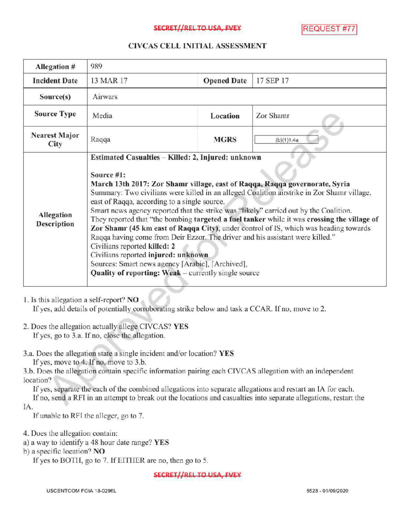### SECRET//REL TO USA, EVEY REQUEST #7

### CIVCASCELLINITIALASSESSMENT

| <b>Allegation #</b>              | 989                                                                                                                                                                                                                                                                                                                                                                                                                                                                                                                                                                                                                                                                                                                                                                                                                                                      |                    |            |
|----------------------------------|----------------------------------------------------------------------------------------------------------------------------------------------------------------------------------------------------------------------------------------------------------------------------------------------------------------------------------------------------------------------------------------------------------------------------------------------------------------------------------------------------------------------------------------------------------------------------------------------------------------------------------------------------------------------------------------------------------------------------------------------------------------------------------------------------------------------------------------------------------|--------------------|------------|
| <b>Incident Date</b>             | 13 MAR 17                                                                                                                                                                                                                                                                                                                                                                                                                                                                                                                                                                                                                                                                                                                                                                                                                                                | <b>Opened Date</b> | 17 SEP 17  |
| Source(s)                        | <b>Airwars</b>                                                                                                                                                                                                                                                                                                                                                                                                                                                                                                                                                                                                                                                                                                                                                                                                                                           |                    |            |
| <b>Source Type</b>               | Media                                                                                                                                                                                                                                                                                                                                                                                                                                                                                                                                                                                                                                                                                                                                                                                                                                                    | Location           | Zor Shamr  |
| <b>Nearest Major</b><br>City     | Raqqa                                                                                                                                                                                                                                                                                                                                                                                                                                                                                                                                                                                                                                                                                                                                                                                                                                                    | <b>MGRS</b>        | (b)(1)1.4a |
| <b>Allegation</b><br>Description | Estimated Casualties - Killed: 2, Injured: unknown<br>Source #1:<br>March 13th 2017: Zor Shamr village, east of Raqqa, Raqqa governorate, Syria<br>Summary: Two civilians were killed in an alleged Coalition airstrike in Zor Shamr village.<br>east of Raqqa, according to a single source.<br>Smart news agency reported that the strike was "likely" carried out by the Coalition.<br>They reported that "the bombing targeted a fuel tanker while it was crossing the village of<br>Zor Shamr (45 km east of Raqqa City), under control of IS, which was heading towards<br>Raqqa having come from Deir Ezzor. The driver and his assistant were killed."<br>Civilians reported killed: 2<br>Civilians reported injured: unknown<br>Sources: Smart news agency [Arabic], [Archived],<br><b>Quality of reporting: Weak</b> – currently single source |                    |            |

1. Is this allegation a self-report? NO

If yes, add details of potentially corroborating strike below and task a CCAR. If no, move to 2.

- 2. Does the allegation actually allege CIVCAS? YES If yes, go to 3.a. If no, close the allegation.
- 3.a. Does the allegation state a single incident and/or location? YES

If yes, move to 4. If no, move to 3.b.

3.b. Does the allegation contain specific information pairing each CIVCAS allegation with an independent location?

If yes, separate the each of the combined allegations into separate allegations and restart an IA for each. If no, send a RFI in an attempt to break out the locations and casualties into separate allegations, restart the IA

If unable to RFI the alleger, go to 7.

4. Does the allegation contain:

a) <sup>a</sup> way to identify a 48 hour date range? YES

b) a specific location? NO

If yes to BOTH, go to 7. If EITHER are no, then go to 5.

SECRET//REL TO USA, FVEY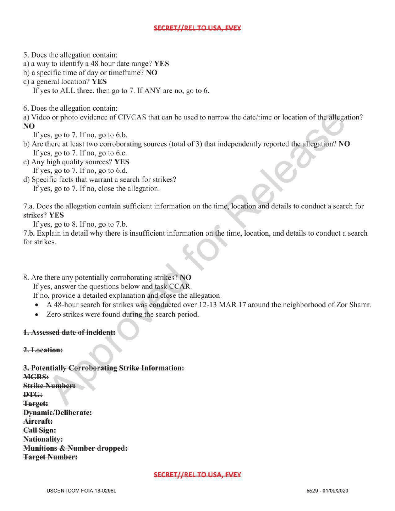# SECRET//REL TO USA, FVEY

5. Does the allegation contain:

a) <sup>a</sup> way to identify a 48 hour date range? YES

b) a specific time of day or timeframe?  $NO$ 

c) a general location? YES

If yes to ALL three, then go to  $7$ . If ANY are no, go to  $6$ .

6. Does the allegation contain:

a) Video or photo evidence of CIVCAS that can be used to narrow the date/time or location of the allegation? NO

If yes, go to  $7.$  If no, go to  $6.b$ .

- b) Are there at least two corroborating sources (total of 3) that independently reported the allegation? NO If yes, go to  $7.$  If no, go to 6.c.
- c) Any high quality sources? YES If yes, go to  $7.$  If no, go to  $6.d.$
- d) Specific facts that warrant a search for strikes? If yes, go to 7. If no, close the allegation.

7.a. Does the allegation contain sufficient information on the time, location and details to conduct a search for strikes? YES

If yes, go to  $8$ . If no, go to  $7.b$ .

7.b. Explain in detail why there is insufficient information on the time, location, and details to conduct <sup>a</sup> search for strikes. formation on the time, location, and details to conduct  $\mathbf{r}$ 

8. Are there any potentially corroborating strikes? NO

If yes, answer the questions below and task CCAR.

If no, provide a detailed explanation and close the allegation.

- A 48-hour search for strikes was conducted over 12-13 MAR 17 around the neighborhood of Zor Shamr.
- Zero strikes were found during the search period.

# 1.Assessed date of incident:

# 2. Location:

3. Potentially Corroborating Strike Information: MGRS: Strike Number: DTG: Target: **Dynamic/Deliberate:** Aircraft: CallSign: Nationality: Munitions & Number dropped: Target Number:

#### SECRET//REL TO USA, EVEY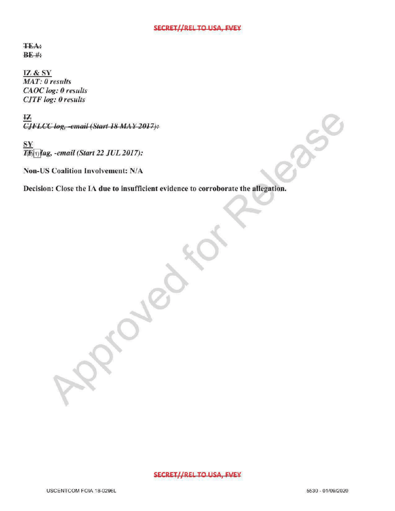#### SECRET//REL TO USA, FVEY

 $f(x)$ 

**TEA**:  $BE$ #

IZ & SY MAT: 0 results CAOC log: 0 results **CJTF** log: 0 results

**IZ**<br>CJFLCC log, -email (Start 18 MAY 2017):

 $\frac{\text{SY}}{\text{TR}(\text{1})}$ lag, -email (Start 22 JUL 2017):

Non-US Coalition Involvement: N/A

Decision: Close the IA due to insufficient evidence to corroborate the allegation.

 $\mathcal{S}$ 

#### SECRET//REL TO USA, FVEY